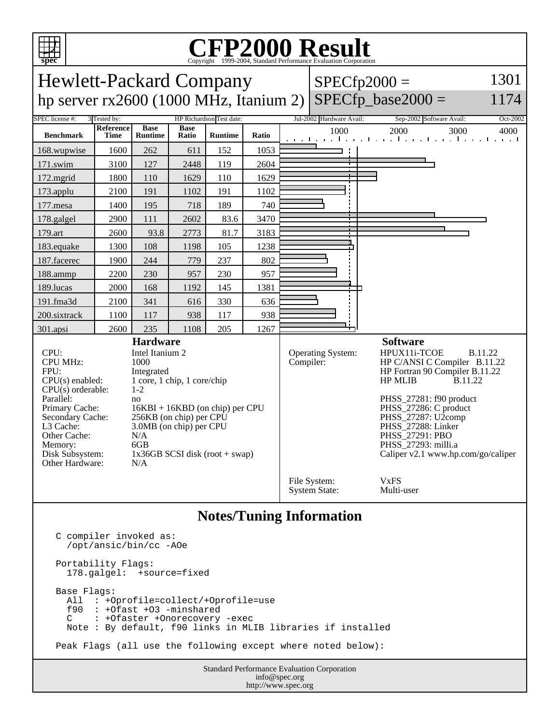

## **Notes/Tuning Information**

http://www.spec.org

```
Standard Performance Evaluation Corporation
                                       info@spec.org
C compiler invoked as:
   /opt/ansic/bin/cc -AOe
Portability Flags:
   178.galgel: +source=fixed
Base Flags:
   All : +Oprofile=collect/+Oprofile=use
   f90 : +Ofast +O3 -minshared
       : +Ofaster +Onorecovery -exec
   Note : By default, f90 links in MLIB libraries if installed
Peak Flags (all use the following except where noted below):
```